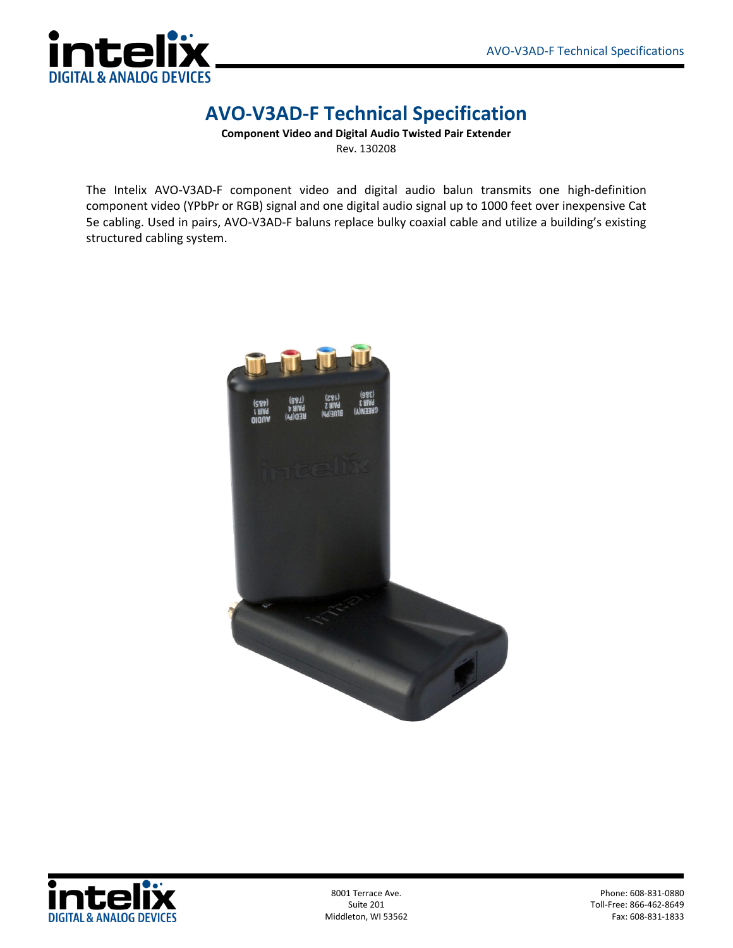

## **AVO-V3AD-F Technical Specification**

**Component Video and Digital Audio Twisted Pair Extender** Rev. 130208

The Intelix AVO-V3AD-F component video and digital audio balun transmits one high-definition component video (YPbPr or RGB) signal and one digital audio signal up to 1000 feet over inexpensive Cat 5e cabling. Used in pairs, AVO-V3AD-F baluns replace bulky coaxial cable and utilize a building's existing structured cabling system.





Middleton, WI 53562

8001 Terrace Ave. Phone: 608-831-0880 Toll-Free: 866-462-8649<br>Fax: 608-831-1833